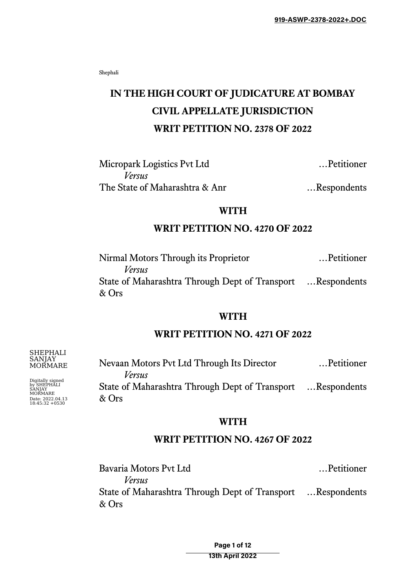Shephali

# **IN THE HIGH COURT OF JUDICATURE AT BOMBAY CIVIL APPELLATE JURISDICTION WRIT PETITION NO. 2378 OF 2022**

Micropark Logistics Pvt Ltd …Petitioner *Versus* The State of Maharashtra & Anr ... Respondents

# **WITH**

# **WRIT PETITION NO. 4270 OF 2022**

Nirmal Motors Through its Proprietor …Petitioner *Versus* State of Maharashtra Through Dept of Transport …Respondents & Ors

#### **WITH**

# **WRIT PETITION NO. 4271 OF 2022**

Nevaan Motors Pvt Ltd Through Its Director …Petitioner *Versus* State of Maharashtra Through Dept of Transport …Respondents & Ors

#### **WITH**

# **WRIT PETITION NO. 4267 OF 2022**

Bavaria Motors Pvt Ltd …Petitioner *Versus* State of Maharashtra Through Dept of Transport …Respondents & Ors

> Page 1 of 12 13th April 2022

SANJAY MORMARE

SHEPHALI

Digitally signed by SHEPHALI SANJAY MORMARE Date: 2022.04.13 18:45:32 +0530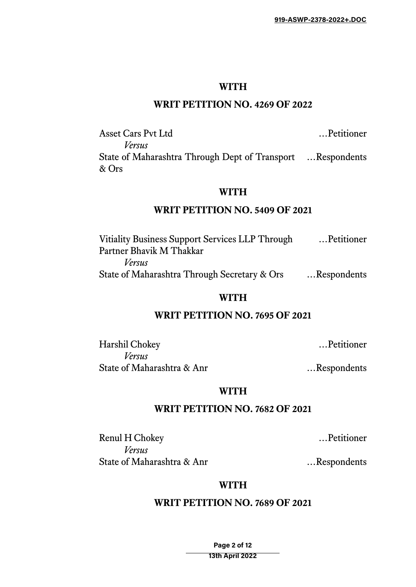# **WITH**

# **WRIT PETITION NO. 4269 OF 2022**

Asset Cars Pvt Ltd …Petitioner *Versus* State of Maharashtra Through Dept of Transport …Respondents & Ors

#### **WITH**

# **WRIT PETITION NO. 5409 OF 2021**

Vitiality Business Support Services LLP Through …Petitioner Partner Bhavik M Thakkar *Versus* State of Maharashtra Through Secretary & Ors …Respondents

#### **WITH**

# **WRIT PETITION NO. 7695 OF 2021**

Harshil Chokey …Petitioner *Versus* State of Maharashtra & Anr metal metal was mediated as a second metal was seen as  $\ldots$  Respondents

# **WITH**

# **WRIT PETITION NO. 7682 OF 2021**

Renul H Chokey …Petitioner *Versus* State of Maharashtra & Anr ... Respondents

#### **WITH**

# **WRIT PETITION NO. 7689 OF 2021**

Page 2 of 12 13th April 2022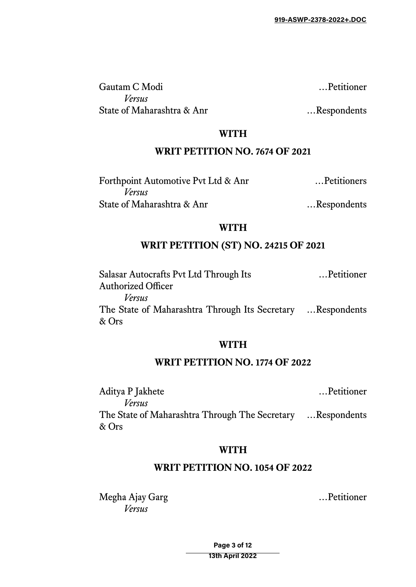Gautam C Modi …Petitioner *Versus* State of Maharashtra & Anr ... Respondents

**WITH**

# **WRIT PETITION NO. 7674 OF 2021**

| Forthpoint Automotive Pvt Ltd & Anr | Petitioners |
|-------------------------------------|-------------|
| Versus                              |             |
| State of Maharashtra & Anr          | Respondents |

#### **WITH**

# **WRIT PETITION (ST) NO. 24215 OF 2021**

| Salasar Autocrafts Pvt Ltd Through Its                               | Petitioner |
|----------------------------------------------------------------------|------------|
| <b>Authorized Officer</b>                                            |            |
| Versus                                                               |            |
| The State of Maharashtra Through Its Secretary  Respondents<br>& Ors |            |

# **WITH**

## **WRIT PETITION NO. 1774 OF 2022**

Aditya P Jakhete …Petitioner *Versus* The State of Maharashtra Through The Secretary …Respondents & Ors

# **WITH**

# **WRIT PETITION NO. 1054 OF 2022**

Megha Ajay Garg …Petitioner *Versus*

Page 3 of 12 13th April 2022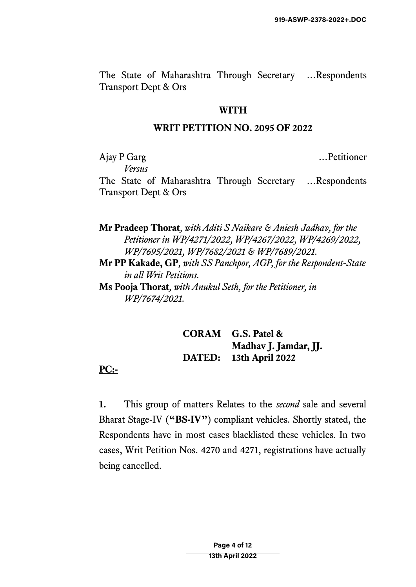The State of Maharashtra Through Secretary …Respondents Transport Dept & Ors

#### **WITH**

## **WRIT PETITION NO. 2095 OF 2022**

Ajay P Garg …Petitioner

*Versus*

The State of Maharashtra Through Secretary …Respondents Transport Dept & Ors

**Mr Pradeep Thorat***, with Aditi S Naikare & Aniesh Jadhav, for the Petitioner in WP/4271/2022, WP/4267/2022, WP/4269/2022, WP/7695/2021, WP/7682/2021 & WP/7689/2021.*

**Mr PP Kakade, GP***, with SS Panchpor, AGP, for the Respondent-State in all Writ Petitions.*

**Ms Pooja Thorat***, with Anukul Seth, for the Petitioner, in WP/7674/2021.*

> **CORAM G.S. Patel & Madhav J. Jamdar, JJ. DATED: 13th April 2022**

**PC:-**

**1.** This group of matters Relates to the *second* sale and several Bharat Stage-IV (**"BS-IV"**) compliant vehicles. Shortly stated, the Respondents have in most cases blacklisted these vehicles. In two cases, Writ Petition Nos. 4270 and 4271, registrations have actually being cancelled.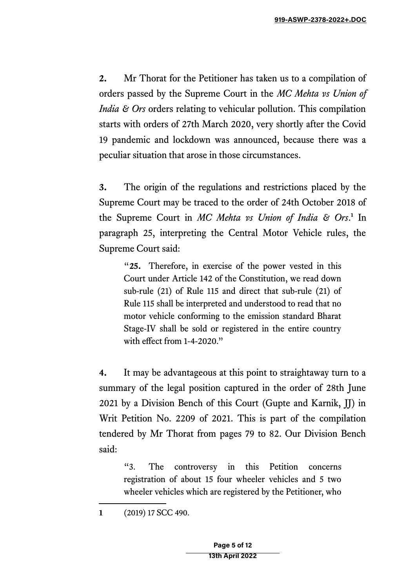**2.** Mr Thorat for the Petitioner has taken us to a compilation of orders passed by the Supreme Court in the *MC Mehta vs Union of India & Ors* orders relating to vehicular pollution. This compilation starts with orders of 27th March 2020, very shortly after the Covid 19 pandemic and lockdown was announced, because there was a peculiar situation that arose in those circumstances.

**3.** The origin of the regulations and restrictions placed by the Supreme Court may be traced to the order of 24th October 2018 of the Supreme Court in *MC Mehta vs Union of India & Ors*. **[1](#page-4-0)** In paragraph 25, interpreting the Central Motor Vehicle rules, the Supreme Court said:

"**25.** Therefore, in exercise of the power vested in this Court under Article 142 of the Constitution, we read down sub-rule (21) of Rule 115 and direct that sub-rule (21) of Rule 115 shall be interpreted and understood to read that no motor vehicle conforming to the emission standard Bharat Stage-IV shall be sold or registered in the entire country with effect from 1-4-2020."

**4.** It may be advantageous at this point to straightaway turn to a summary of the legal position captured in the order of 28th June 2021 by a Division Bench of this Court (Gupte and Karnik, JJ) in Writ Petition No. 2209 of 2021. This is part of the compilation tendered by Mr Thorat from pages 79 to 82. Our Division Bench said:

"3. The controversy in this Petition concerns registration of about 15 four wheeler vehicles and 5 two wheeler vehicles which are registered by the Petitioner, who

<span id="page-4-0"></span>**1** (2019) 17 SCC 490.

Page 5 of 12 13th April 2022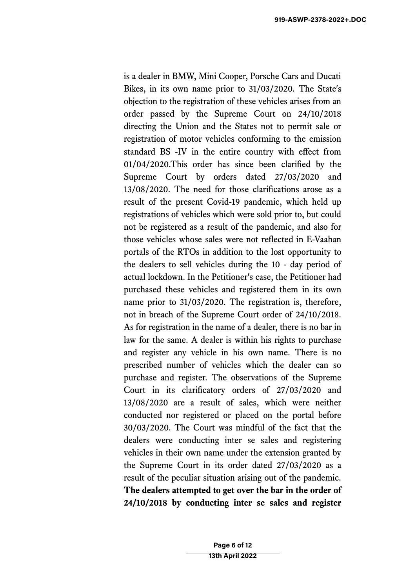is a dealer in BMW, Mini Cooper, Porsche Cars and Ducati Bikes, in its own name prior to 31/03/2020. The State's objection to the registration of these vehicles arises from an order passed by the Supreme Court on 24/10/2018 directing the Union and the States not to permit sale or registration of motor vehicles conforming to the emission standard BS -IV in the entire country with effect from 01/04/2020.This order has since been clarified by the Supreme Court by orders dated 27/03/2020 and 13/08/2020. The need for those clarifications arose as a result of the present Covid-19 pandemic, which held up registrations of vehicles which were sold prior to, but could not be registered as a result of the pandemic, and also for those vehicles whose sales were not reflected in E-Vaahan portals of the RTOs in addition to the lost opportunity to the dealers to sell vehicles during the 10 - day period of actual lockdown. In the Petitioner's case, the Petitioner had purchased these vehicles and registered them in its own name prior to 31/03/2020. The registration is, therefore, not in breach of the Supreme Court order of 24/10/2018. As for registration in the name of a dealer, there is no bar in law for the same. A dealer is within his rights to purchase and register any vehicle in his own name. There is no prescribed number of vehicles which the dealer can so purchase and register. The observations of the Supreme Court in its clarificatory orders of 27/03/2020 and 13/08/2020 are a result of sales, which were neither conducted nor registered or placed on the portal before 30/03/2020. The Court was mindful of the fact that the dealers were conducting inter se sales and registering vehicles in their own name under the extension granted by the Supreme Court in its order dated 27/03/2020 as a result of the peculiar situation arising out of the pandemic. **The dealers attempted to get over the bar in the order of 24/10/2018 by conducting inter se sales and register**

> Page 6 of 12 13th April 2022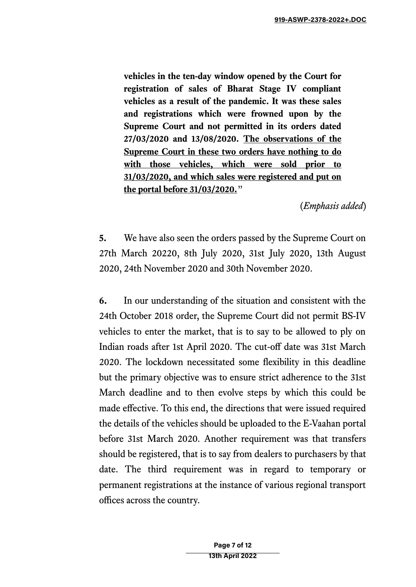**vehicles in the ten-day window opened by the Court for registration of sales of Bharat Stage IV compliant vehicles as a result of the pandemic. It was these sales and registrations which were frowned upon by the Supreme Court and not permitted in its orders dated 27/03/2020 and 13/08/2020. The observations of the Supreme Court in these two orders have nothing to do with those vehicles, which were sold prior to 31/03/2020, and which sales were registered and put on the portal before 31/03/2020.**"

(*Emphasis added*)

**5.** We have also seen the orders passed by the Supreme Court on 27th March 20220, 8th July 2020, 31st July 2020, 13th August 2020, 24th November 2020 and 30th November 2020.

**6.** In our understanding of the situation and consistent with the 24th October 2018 order, the Supreme Court did not permit BS-IV vehicles to enter the market, that is to say to be allowed to ply on Indian roads after 1st April 2020. The cut-off date was 31st March 2020. The lockdown necessitated some flexibility in this deadline but the primary objective was to ensure strict adherence to the 31st March deadline and to then evolve steps by which this could be made effective. To this end, the directions that were issued required the details of the vehicles should be uploaded to the E-Vaahan portal before 31st March 2020. Another requirement was that transfers should be registered, that is to say from dealers to purchasers by that date. The third requirement was in regard to temporary or permanent registrations at the instance of various regional transport offices across the country.

> Page 7 of 12 13th April 2022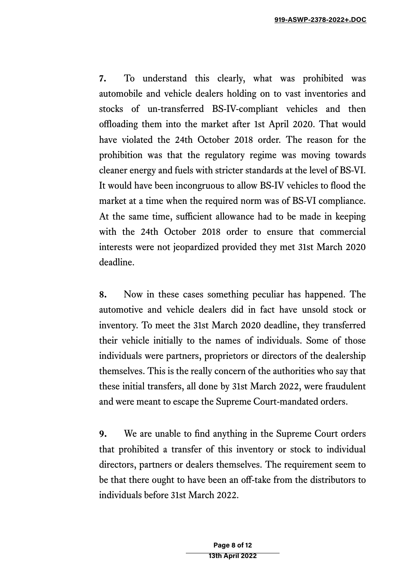**7.** To understand this clearly, what was prohibited was automobile and vehicle dealers holding on to vast inventories and stocks of un-transferred BS-IV-compliant vehicles and then offloading them into the market after 1st April 2020. That would have violated the 24th October 2018 order. The reason for the prohibition was that the regulatory regime was moving towards cleaner energy and fuels with stricter standards at the level of BS-VI. It would have been incongruous to allow BS-IV vehicles to flood the market at a time when the required norm was of BS-VI compliance. At the same time, sufficient allowance had to be made in keeping with the 24th October 2018 order to ensure that commercial interests were not jeopardized provided they met 31st March 2020 deadline.

**8.** Now in these cases something peculiar has happened. The automotive and vehicle dealers did in fact have unsold stock or inventory. To meet the 31st March 2020 deadline, they transferred their vehicle initially to the names of individuals. Some of those individuals were partners, proprietors or directors of the dealership themselves. This is the really concern of the authorities who say that these initial transfers, all done by 31st March 2022, were fraudulent and were meant to escape the Supreme Court-mandated orders.

**9.** We are unable to find anything in the Supreme Court orders that prohibited a transfer of this inventory or stock to individual directors, partners or dealers themselves. The requirement seem to be that there ought to have been an off-take from the distributors to individuals before 31st March 2022.

> Page 8 of 12 13th April 2022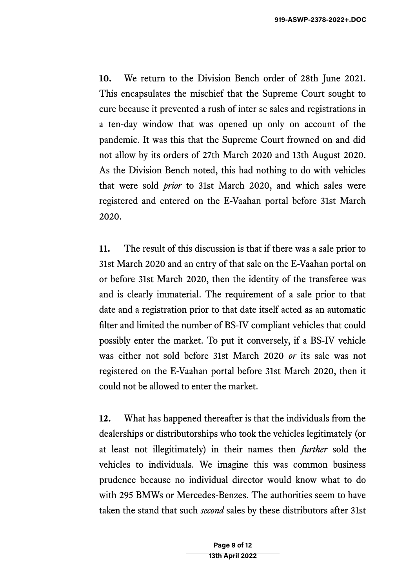**10.** We return to the Division Bench order of 28th June 2021. This encapsulates the mischief that the Supreme Court sought to cure because it prevented a rush of inter se sales and registrations in a ten-day window that was opened up only on account of the pandemic. It was this that the Supreme Court frowned on and did not allow by its orders of 27th March 2020 and 13th August 2020. As the Division Bench noted, this had nothing to do with vehicles that were sold *prior* to 31st March 2020, and which sales were registered and entered on the E-Vaahan portal before 31st March 2020.

**11.** The result of this discussion is that if there was a sale prior to 31st March 2020 and an entry of that sale on the E-Vaahan portal on or before 31st March 2020, then the identity of the transferee was and is clearly immaterial. The requirement of a sale prior to that date and a registration prior to that date itself acted as an automatic filter and limited the number of BS-IV compliant vehicles that could possibly enter the market. To put it conversely, if a BS-IV vehicle was either not sold before 31st March 2020 *or* its sale was not registered on the E-Vaahan portal before 31st March 2020, then it could not be allowed to enter the market.

**12.** What has happened thereafter is that the individuals from the dealerships or distributorships who took the vehicles legitimately (or at least not illegitimately) in their names then *further* sold the vehicles to individuals. We imagine this was common business prudence because no individual director would know what to do with 295 BMWs or Mercedes-Benzes. The authorities seem to have taken the stand that such *second* sales by these distributors after 31st

> Page 9 of 12 13th April 2022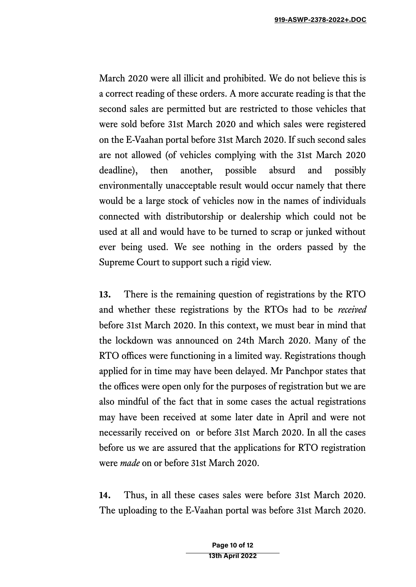March 2020 were all illicit and prohibited. We do not believe this is a correct reading of these orders. A more accurate reading is that the second sales are permitted but are restricted to those vehicles that were sold before 31st March 2020 and which sales were registered on the E-Vaahan portal before 31st March 2020. If such second sales are not allowed (of vehicles complying with the 31st March 2020 deadline), then another, possible absurd and possibly environmentally unacceptable result would occur namely that there would be a large stock of vehicles now in the names of individuals connected with distributorship or dealership which could not be used at all and would have to be turned to scrap or junked without ever being used. We see nothing in the orders passed by the Supreme Court to support such a rigid view.

**13.** There is the remaining question of registrations by the RTO and whether these registrations by the RTOs had to be *received* before 31st March 2020. In this context, we must bear in mind that the lockdown was announced on 24th March 2020. Many of the RTO offices were functioning in a limited way. Registrations though applied for in time may have been delayed. Mr Panchpor states that the offices were open only for the purposes of registration but we are also mindful of the fact that in some cases the actual registrations may have been received at some later date in April and were not necessarily received on or before 31st March 2020. In all the cases before us we are assured that the applications for RTO registration were *made* on or before 31st March 2020.

**14.** Thus, in all these cases sales were before 31st March 2020. The uploading to the E-Vaahan portal was before 31st March 2020.

> Page 10 of 12 13th April 2022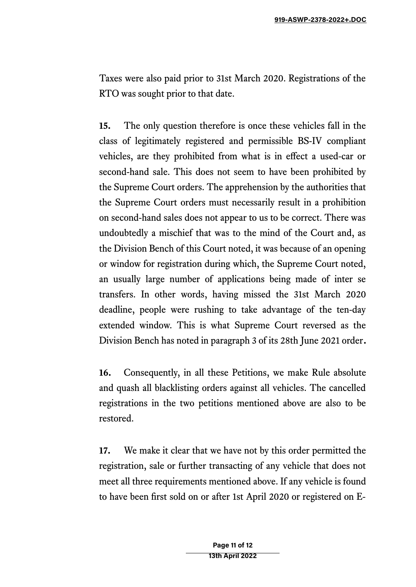Taxes were also paid prior to 31st March 2020. Registrations of the RTO was sought prior to that date.

**15.** The only question therefore is once these vehicles fall in the class of legitimately registered and permissible BS-IV compliant vehicles, are they prohibited from what is in effect a used-car or second-hand sale. This does not seem to have been prohibited by the Supreme Court orders. The apprehension by the authorities that the Supreme Court orders must necessarily result in a prohibition on second-hand sales does not appear to us to be correct. There was undoubtedly a mischief that was to the mind of the Court and, as the Division Bench of this Court noted, it was because of an opening or window for registration during which, the Supreme Court noted, an usually large number of applications being made of inter se transfers. In other words, having missed the 31st March 2020 deadline, people were rushing to take advantage of the ten-day extended window. This is what Supreme Court reversed as the Division Bench has noted in paragraph 3 of its 28th June 2021 order**.**

**16.** Consequently, in all these Petitions, we make Rule absolute and quash all blacklisting orders against all vehicles. The cancelled registrations in the two petitions mentioned above are also to be restored.

**17.** We make it clear that we have not by this order permitted the registration, sale or further transacting of any vehicle that does not meet all three requirements mentioned above. If any vehicle is found to have been first sold on or after 1st April 2020 or registered on E-

> Page 11 of 12 13th April 2022